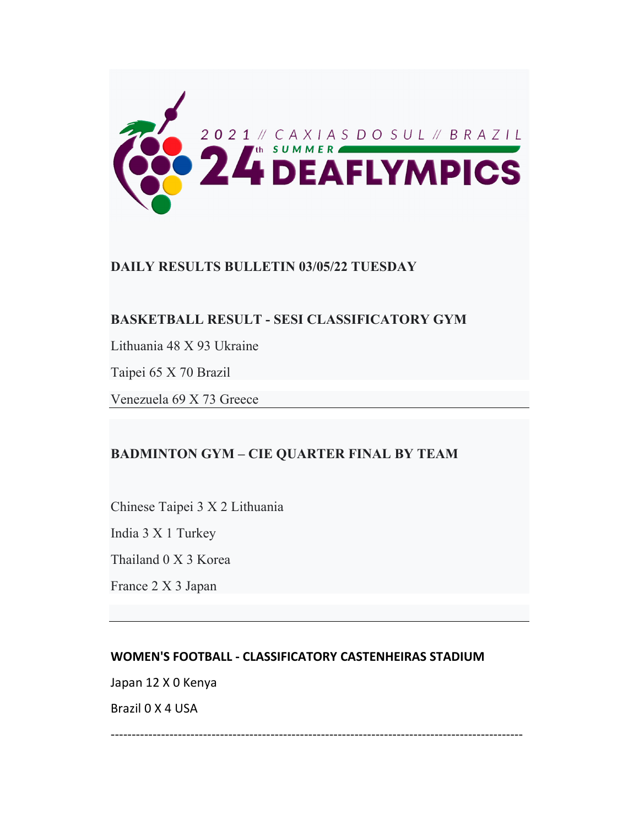

# **DAILY RESULTS BULLETIN 03/05/22 TUESDAY**

# **BASKETBALL RESULT - SESI CLASSIFICATORY GYM**

Lithuania 48 X 93 Ukraine

Taipei 65 X 70 Brazil

Venezuela 69 X 73 Greece

# **BADMINTON GYM – CIE QUARTER FINAL BY TEAM**

Chinese Taipei 3 X 2 Lithuania

India 3 X 1 Turkey

Thailand 0 X 3 Korea

France 2 X 3 Japan

## **WOMEN'S FOOTBALL ‐ CLASSIFICATORY CASTENHEIRAS STADIUM**

Japan 12 X 0 Kenya

Brazil 0 X 4 USA

‐‐‐‐‐‐‐‐‐‐‐‐‐‐‐‐‐‐‐‐‐‐‐‐‐‐‐‐‐‐‐‐‐‐‐‐‐‐‐‐‐‐‐‐‐‐‐‐‐‐‐‐‐‐‐‐‐‐‐‐‐‐‐‐‐‐‐‐‐‐‐‐‐‐‐‐‐‐‐‐‐‐‐‐‐‐‐‐‐‐‐‐‐‐‐‐‐‐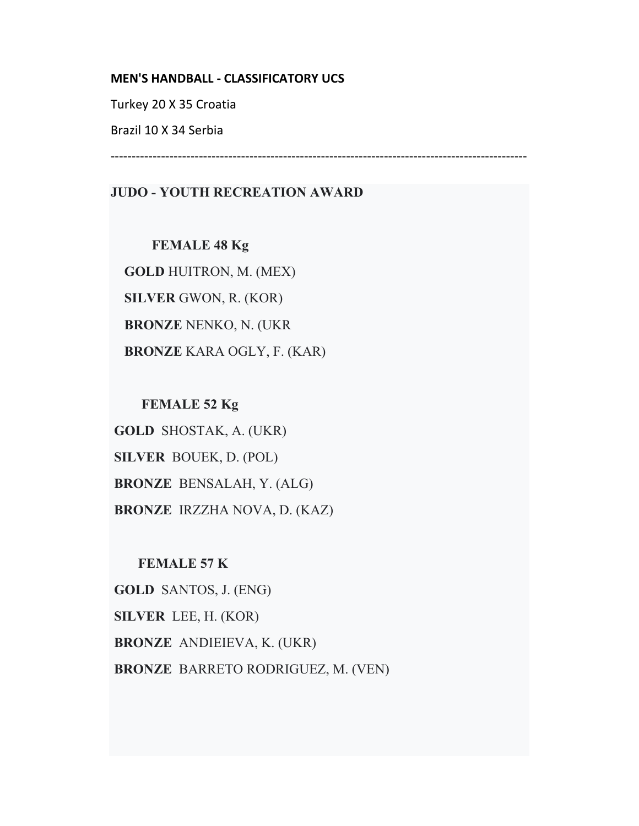#### **MEN'S HANDBALL ‐ CLASSIFICATORY UCS**

Turkey 20 X 35 Croatia

Brazil 10 X 34 Serbia

‐‐‐‐‐‐‐‐‐‐‐‐‐‐‐‐‐‐‐‐‐‐‐‐‐‐‐‐‐‐‐‐‐‐‐‐‐‐‐‐‐‐‐‐‐‐‐‐‐‐‐‐‐‐‐‐‐‐‐‐‐‐‐‐‐‐‐‐‐‐‐‐‐‐‐‐‐‐‐‐‐‐‐‐‐‐‐‐‐‐‐‐‐‐‐‐‐‐‐

# **JUDO - YOUTH RECREATION AWARD**

 **FEMALE 48 Kg GOLD** HUITRON, M. (MEX) **SILVER** GWON, R. (KOR)  **BRONZE** NENKO, N. (UKR  **BRONZE** KARA OGLY, F. (KAR)

 **FEMALE 52 Kg GOLD** SHOSTAK, A. (UKR)  **SILVER** BOUEK, D. (POL)  **BRONZE** BENSALAH, Y. (ALG)  **BRONZE** IRZZHA NOVA, D. (KAZ)

## **FEMALE 57 K**

**GOLD** SANTOS, J. (ENG) **SILVER** LEE, H. (KOR)  **BRONZE** ANDIEIEVA, K. (UKR)  **BRONZE** BARRETO RODRIGUEZ, M. (VEN)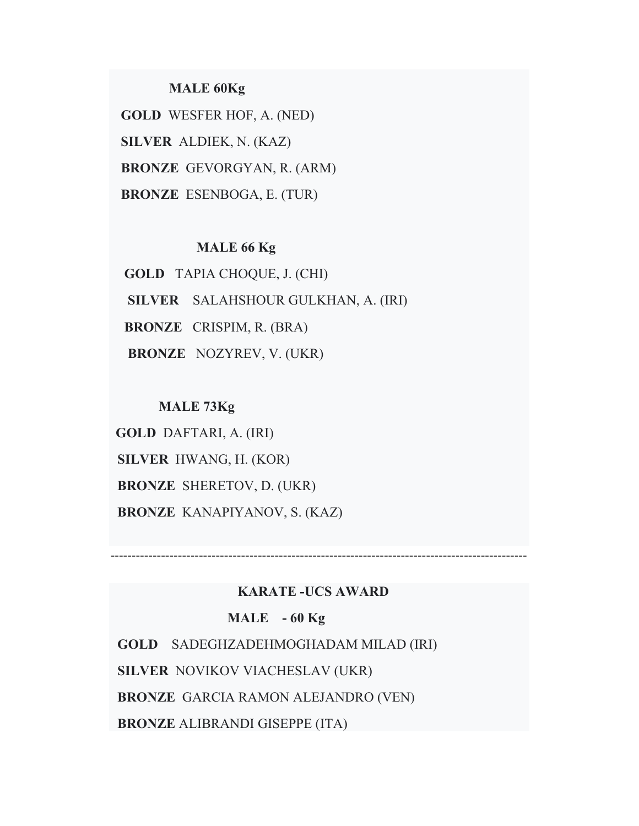## **MALE 60Kg**

 **GOLD** WESFER HOF, A. (NED)  **SILVER** ALDIEK, N. (KAZ) **BRONZE** GEVORGYAN, R. (ARM) **BRONZE** ESENBOGA, E. (TUR)

## **MALE 66 Kg**

 **GOLD** TAPIA CHOQUE, J. (CHI) **SILVER** SALAHSHOUR GULKHAN, A. (IRI) **BRONZE** CRISPIM, R. (BRA) **BRONZE** NOZYREV, V. (UKR)

#### **MALE 73Kg**

**GOLD** DAFTARI, A. (IRI) **SILVER** HWANG, H. (KOR) **BRONZE** SHERETOV, D. (UKR) **BRONZE** KANAPIYANOV, S. (KAZ)

## **KARATE -UCS AWARD**

‐‐‐‐‐‐‐‐‐‐‐‐‐‐‐‐‐‐‐‐‐‐‐‐‐‐‐‐‐‐‐‐‐‐‐‐‐‐‐‐‐‐‐‐‐‐‐‐‐‐‐‐‐‐‐‐‐‐‐‐‐‐‐‐‐‐‐‐‐‐‐‐‐‐‐‐‐‐‐‐‐‐‐‐‐‐‐‐‐‐‐‐‐‐‐‐‐‐‐

## **MALE - 60 Kg**

 **GOLD** SADEGHZADEHMOGHADAM MILAD (IRI) **SILVER** NOVIKOV VIACHESLAV (UKR) **BRONZE** GARCIA RAMON ALEJANDRO (VEN) **BRONZE** ALIBRANDI GISEPPE (ITA)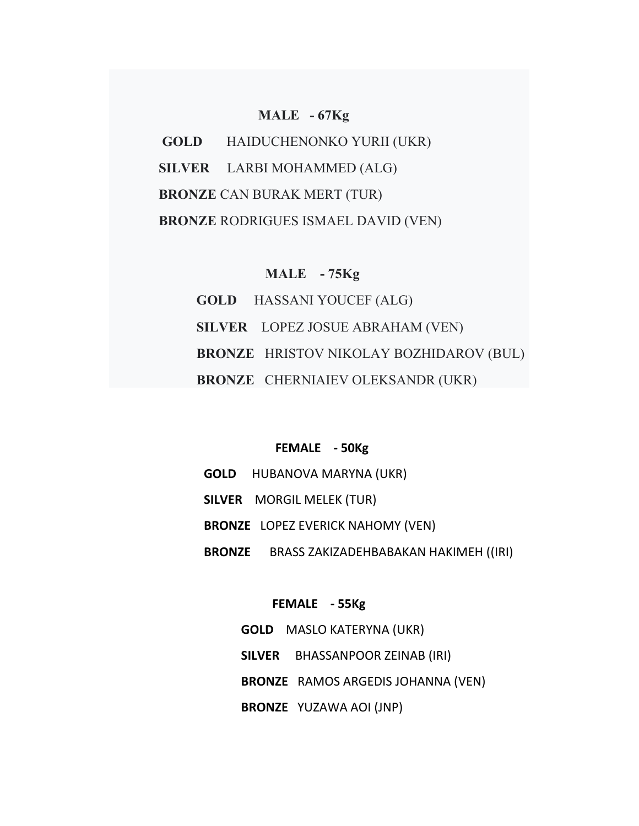#### **MALE - 67Kg**

 **GOLD** HAIDUCHENONKO YURII (UKR)  **SILVER** LARBI MOHAMMED (ALG)  **BRONZE** CAN BURAK MERT (TUR)  **BRONZE** RODRIGUES ISMAEL DAVID (VEN)

#### **MALE - 75Kg**

 **GOLD** HASSANI YOUCEF (ALG) **SILVER** LOPEZ JOSUE ABRAHAM (VEN)  **BRONZE** HRISTOV NIKOLAY BOZHIDAROV (BUL)  **BRONZE** CHERNIAIEV OLEKSANDR (UKR)

## **FEMALE ‐ 50Kg**

 **GOLD** HUBANOVA MARYNA (UKR) **SILVER** MORGIL MELEK (TUR)  **BRONZE** LOPEZ EVERICK NAHOMY (VEN) **BRONZE** BRASS ZAKIZADEHBABAKAN HAKIMEH ((IRI)

### **FEMALE ‐ 55Kg**

 **GOLD** MASLO KATERYNA (UKR)  **SILVER** BHASSANPOOR ZEINAB (IRI) **BRONZE** RAMOS ARGEDIS JOHANNA (VEN)  **BRONZE** YUZAWA AOI (JNP)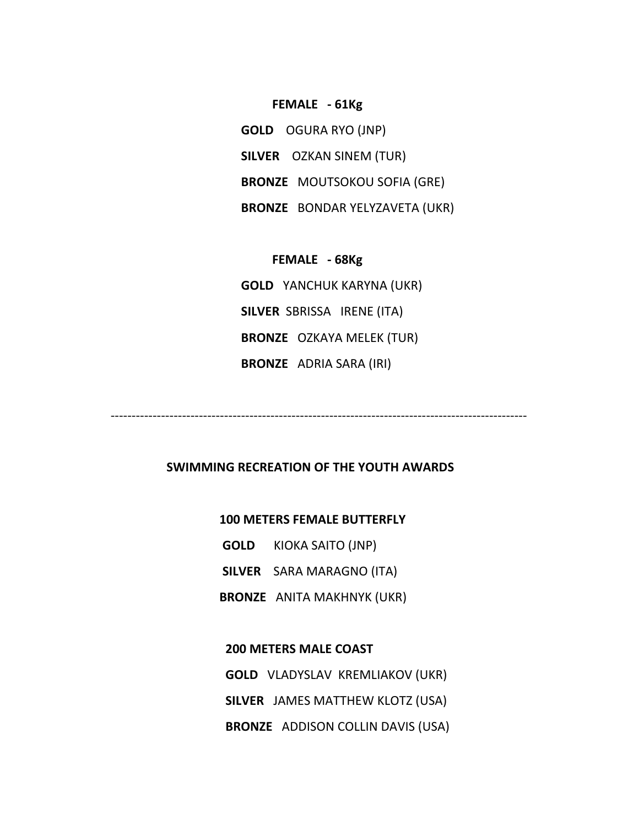#### **FEMALE ‐ 61Kg**

 **GOLD** OGURA RYO (JNP) **SILVER** OZKAN SINEM (TUR) **BRONZE** MOUTSOKOU SOFIA (GRE)  **BRONZE** BONDAR YELYZAVETA (UKR)

 **FEMALE ‐ 68Kg GOLD** YANCHUK KARYNA (UKR) **SILVER** SBRISSA IRENE (ITA) **BRONZE**  OZKAYA MELEK (TUR)  **BRONZE** ADRIA SARA (IRI)

‐‐‐‐‐‐‐‐‐‐‐‐‐‐‐‐‐‐‐‐‐‐‐‐‐‐‐‐‐‐‐‐‐‐‐‐‐‐‐‐‐‐‐‐‐‐‐‐‐‐‐‐‐‐‐‐‐‐‐‐‐‐‐‐‐‐‐‐‐‐‐‐‐‐‐‐‐‐‐‐‐‐‐‐‐‐‐‐‐‐‐‐‐‐‐‐‐‐‐

## **SWIMMING RECREATION OF THE YOUTH AWARDS**

#### **100 METERS FEMALE BUTTERFLY**

 **GOLD** KIOKA SAITO (JNP)

 **SILVER** SARA MARAGNO (ITA)

**BRONZE** ANITA MAKHNYK (UKR)

# **200 METERS MALE COAST GOLD** VLADYSLAV KREMLIAKOV (UKR)  **SILVER** JAMES MATTHEW KLOTZ (USA)  **BRONZE** ADDISON COLLIN DAVIS (USA)